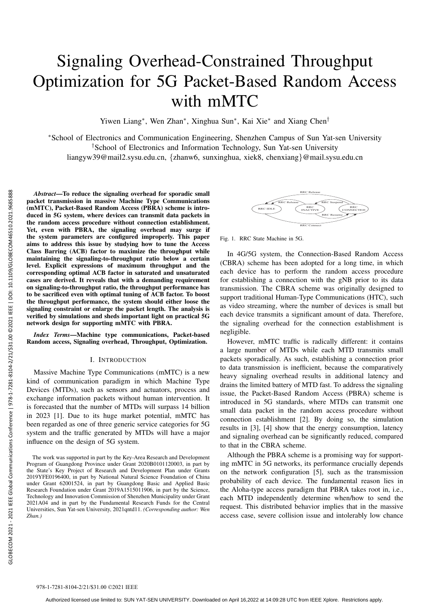# Signaling Overhead-Constrained Throughput Optimization for 5G Packet-Based Random Access with mMTC

Yiwen Liang<sup>∗</sup> , Wen Zhan<sup>∗</sup> , Xinghua Sun<sup>∗</sup> , Kai Xie<sup>∗</sup> and Xiang Chen†

<sup>∗</sup>School of Electronics and Communication Engineering, Shenzhen Campus of Sun Yat-sen University †School of Electronics and Information Technology, Sun Yat-sen University liangyw39@mail2.sysu.edu.cn, {zhanw6, sunxinghua, xiek8, chenxiang}@mail.sysu.edu.cn

*Abstract*—To reduce the signaling overhead for sporadic small packet transmission in massive Machine Type Communications (mMTC), Packet-Based Random Access (PBRA) scheme is introduced in 5G system, where devices can transmit data packets in the random access procedure without connection establishment. Yet, even with PBRA, the signaling overhead may surge if the system parameters are configured improperly. This paper aims to address this issue by studying how to tune the Access Class Barring (ACB) factor to maximize the throughput while maintaining the signaling-to-throughput ratio below a certain level. Explicit expressions of maximum throughput and the corresponding optimal ACB factor in saturated and unsaturated cases are derived. It reveals that with a demanding requirement on signaling-to-throughput ratio, the throughput performance has to be sacrificed even with optimal tuning of ACB factor. To boost the throughput performance, the system should either loose the signaling constraint or enlarge the packet length. The analysis is verified by simulations and sheds important light on practical 5G network design for supporting mMTC with PBRA. *Abstract—* To reduce the signaling ow<br>
macket transmission in massive Machin Access<br>
duced in 5G cystem, where devices can<br>
Yet, even with DBAA, the signaling<br>
Yet, even with DBAA, the signaling<br>
The restam parameters ar

*Index Terms*—Machine type communications, Packet-based Random access, Signaling overhead, Throughput, Optimization.

## I. INTRODUCTION

Massive Machine Type Communications (mMTC) is a new kind of communication paradigm in which Machine Type Devices (MTDs), such as sensors and actuators, process and exchange information packets without human intervention. It is forecasted that the number of MTDs will surpass 14 billion in 2023 [1]. Due to its huge market potential, mMTC has been regarded as one of three generic service categories for 5G system and the traffic generated by MTDs will have a major influence on the design of 5G system.

The work was supported in part by the Key-Area Research and Development Program of Guangdong Province under Grant 2020B0101120003, in part by the State's Key Project of Research and Development Plan under Grants 2019YFE0196400, in part by National Natural Science Foundation of China under Grant 62001524, in part by Guangdong Basic and Applied Basic Research Foundation under Grant 2019A1515011906, in part by the Science, Technology and Innovation Commission of Shenzhen Municipality under Grant 2021A04 and in part by the Fundamental Research Funds for the Central Universities, Sun Yat-sen University, 2021qntd11. *(Corresponding author: Wen Zhan.)*



Fig. 1. RRC State Machine in 5G.

In 4G/5G system, the Connection-Based Random Access (CBRA) scheme has been adopted for a long time, in which each device has to perform the random access procedure for establishing a connection with the gNB prior to its data transmission. The CBRA scheme was originally designed to support traditional Human-Type Communications (HTC), such as video streaming, where the number of devices is small but each device transmits a significant amount of data. Therefore, the signaling overhead for the connection establishment is negligible.

However, mMTC traffic is radically different: it contains a large number of MTDs while each MTD transmits small packets sporadically. As such, establishing a connection prior to data transmission is inefficient, because the comparatively heavy signaling overhead results in additional latency and drains the limited battery of MTD fast. To address the signaling issue, the Packet-Based Random Access (PBRA) scheme is introduced in 5G standards, where MTDs can transmit one small data packet in the random access procedure without connection establishment [2]. By doing so, the simulation results in [3], [4] show that the energy consumption, latency and signaling overhead can be significantly reduced, compared to that in the CBRA scheme.

Although the PBRA scheme is a promising way for supporting mMTC in 5G networks, its performance crucially depends on the network configuration [5], such as the transmission probability of each device. The fundamental reason lies in the Aloha-type access paradigm that PBRA takes root in, i.e., each MTD independently determine when/how to send the request. This distributed behavior implies that in the massive access case, severe collision issue and intolerably low chance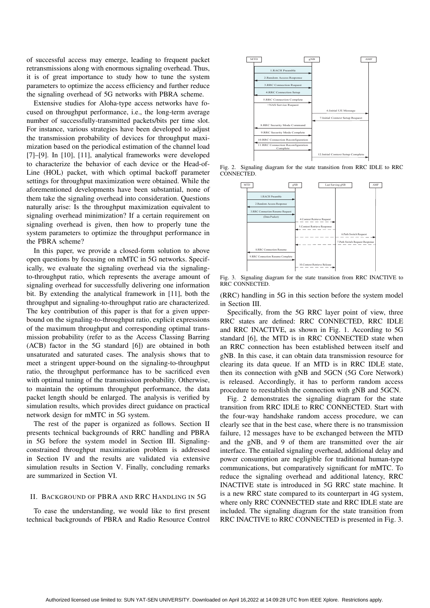of successful access may emerge, leading to frequent packet retransmissions along with enormous signaling overhead. Thus, it is of great importance to study how to tune the system parameters to optimize the access efficiency and further reduce the signaling overhead of 5G networks with PBRA scheme.

Extensive studies for Aloha-type access networks have focused on throughput performance, i.e., the long-term average number of successfully-transmitted packets/bits per time slot. For instance, various strategies have been developed to adjust the transmission probability of devices for throughput maximization based on the periodical estimation of the channel load [7]–[9]. In [10], [11], analytical frameworks were developed to characterize the behavior of each device or the Head-of-Line (HOL) packet, with which optimal backoff parameter settings for throughput maximization were obtained. While the aforementioned developments have been substantial, none of them take the signaling overhead into consideration. Questions naturally arise: Is the throughput maximization equivalent to signaling overhead minimization? If a certain requirement on signaling overhead is given, then how to properly tune the system parameters to optimize the throughput performance in the PBRA scheme?

In this paper, we provide a closed-form solution to above open questions by focusing on mMTC in 5G networks. Specifically, we evaluate the signaling overhead via the signalingto-throughput ratio, which represents the average amount of signaling overhead for successfully delivering one information bit. By extending the analytical framework in [11], both the throughput and signaling-to-throughput ratio are characterized. The key contribution of this paper is that for a given upperbound on the signaling-to-throughput ratio, explicit expressions of the maximum throughput and corresponding optimal transmission probability (refer to as the Access Classing Barring (ACB) factor in the 5G standard [6]) are obtained in both unsaturated and saturated cases. The analysis shows that to meet a stringent upper-bound on the signaling-to-throughput ratio, the throughput performance has to be sacrificed even with optimal tuning of the transmission probability. Otherwise, to maintain the optimum throughput performance, the data packet length should be enlarged. The analysis is verified by simulation results, which provides direct guidance on practical network design for mMTC in 5G system.

The rest of the paper is organized as follows. Section II presents technical backgrounds of RRC handling and PBRA in 5G before the system model in Section III. Signalingconstrained throughput maximization problem is addressed in Section IV and the results are validated via extensive simulation results in Section V. Finally, concluding remarks are summarized in Section VI.

## II. BACKGROUND OF PBRA AND RRC HANDLING IN 5G

To ease the understanding, we would like to first present technical backgrounds of PBRA and Radio Resource Control



Fig. 2. Signaling diagram for the state transition from RRC IDLE to RRC CONNECTED.



Fig. 3. Signaling diagram for the state transition from RRC INACTIVE to RRC CONNECTED.

(RRC) handling in 5G in this section before the system model in Section III.

Specifically, from the 5G RRC layer point of view, three RRC states are defined: RRC CONNECTED, RRC IDLE and RRC INACTIVE, as shown in Fig. 1. According to 5G standard [6], the MTD is in RRC CONNECTED state when an RRC connection has been established between itself and gNB. In this case, it can obtain data transmission resource for clearing its data queue. If an MTD is in RRC IDLE state, then its connection with gNB and 5GCN (5G Core Network) is released. Accordingly, it has to perform random access procedure to reestablish the connection with gNB and 5GCN.

Fig. 2 demonstrates the signaling diagram for the state transition from RRC IDLE to RRC CONNECTED. Start with the four-way handshake random access procedure, we can clearly see that in the best case, where there is no transmission failure, 12 messages have to be exchanged between the MTD and the gNB, and 9 of them are transmitted over the air interface. The entailed signaling overhead, additional delay and power consumption are negligible for traditional human-type communications, but comparatively significant for mMTC. To reduce the signaling overhead and additional latency, RRC INACTIVE state is introduced in 5G RRC state machine. It is a new RRC state compared to its counterpart in 4G system, where only RRC CONNECTED state and RRC IDLE state are included. The signaling diagram for the state transition from RRC INACTIVE to RRC CONNECTED is presented in Fig. 3.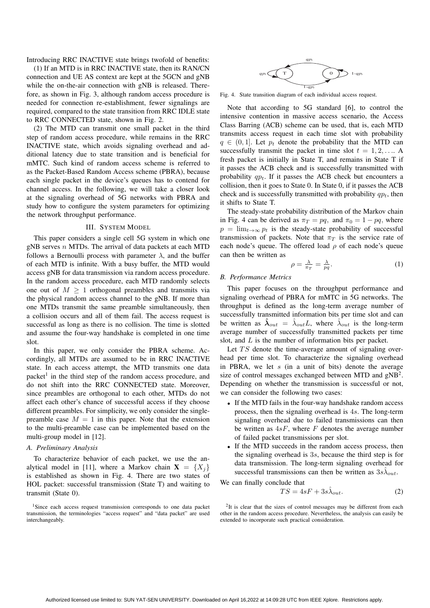Introducing RRC INACTIVE state brings twofold of benefits:

(1) If an MTD is in RRC INACTIVE state, then its RAN/CN connection and UE AS context are kept at the 5GCN and gNB while the on-the-air connection with gNB is released. Therefore, as shown in Fig. 3, although random access procedure is needed for connection re-establishment, fewer signalings are required, compared to the state transition from RRC IDLE state to RRC CONNECTED state, shown in Fig. 2.

(2) The MTD can transmit one small packet in the third step of random access procedure, while remains in the RRC INACTIVE state, which avoids signaling overhead and additional latency due to state transition and is beneficial for mMTC. Such kind of random access scheme is referred to as the Packet-Based Random Access scheme (PBRA), because each single packet in the device's queues has to contend for channel access. In the following, we will take a closer look at the signaling overhead of 5G networks with PBRA and study how to configure the system parameters for optimizing the network throughput performance.

## III. SYSTEM MODEL

This paper considers a single cell 5G system in which one gNB serves  $n$  MTDs. The arrival of data packets at each MTD follows a Bernoulli process with parameter  $\lambda$ , and the buffer of each MTD is infinite. With a busy buffer, the MTD would access gNB for data transmission via random access procedure. In the random access procedure, each MTD randomly selects one out of  $M \geq 1$  orthogonal preambles and transmits via the physical random access channel to the gNB. If more than one MTDs transmit the same preamble simultaneously, then a collision occurs and all of them fail. The access request is successful as long as there is no collision. The time is slotted and assume the four-way handshake is completed in one time slot.

In this paper, we only consider the PBRA scheme. Accordingly, all MTDs are assumed to be in RRC INACTIVE state. In each access attempt, the MTD transmits one data packet<sup>1</sup> in the third step of the random access procedure, and do not shift into the RRC CONNECTED state. Moreover, since preambles are orthogonal to each other, MTDs do not affect each other's chance of successful access if they choose different preambles. For simplicity, we only consider the singlepreamble case  $M = 1$  in this paper. Note that the extension to the multi-preamble case can be implemented based on the multi-group model in [12].

## *A. Preliminary Analysis*

To characterize behavior of each packet, we use the analytical model in [11], where a Markov chain  $X = \{X_i\}$ is established as shown in Fig. 4. There are two states of HOL packet: successful transmission (State T) and waiting to transmit (State 0).



Fig. 4. State transition diagram of each individual access request.

Note that according to 5G standard [6], to control the intensive contention in massive access scenario, the Access Class Barring (ACB) scheme can be used, that is, each MTD transmits access request in each time slot with probability  $q \in (0, 1]$ . Let  $p_t$  denote the probability that the MTD can successfully transmit the packet in time slot  $t = 1, 2, \ldots$ . fresh packet is initially in State T, and remains in State T if it passes the ACB check and is successfully transmitted with probability  $qp_t$ . If it passes the ACB check but encounters a collision, then it goes to State 0. In State 0, if it passes the ACB check and is successfully transmitted with probability  $qp_t$ , then it shifts to State T.

The steady-state probability distribution of the Markov chain in Fig. 4 can be derived as  $\pi_T = pq$ , and  $\pi_0 = 1 - pq$ , where  $p = \lim_{t\to\infty} p_t$  is the steady-state probability of successful transmission of packets. Note that  $\pi_T$  is the service rate of each node's queue. The offered load  $\rho$  of each node's queue can then be written as

$$
\rho = \frac{\lambda}{\pi_T} = \frac{\lambda}{pq}.
$$
\n(1)

#### *B. Performance Metrics*

This paper focuses on the throughput performance and signaling overhead of PBRA for mMTC in 5G networks. The throughput is defined as the long-term average number of successfully transmitted information bits per time slot and can be written as  $\hat{\lambda}_{out} = \hat{\lambda}_{out} L$ , where  $\hat{\lambda}_{out}$  is the long-term average number of successfully transmitted packets per time slot, and L is the number of information bits per packet.

Let  $TS$  denote the time-average amount of signaling overhead per time slot. To characterize the signaling overhead in PBRA, we let  $s$  (in a unit of bits) denote the average size of control messages exchanged between MTD and  $gNB^2$ . Depending on whether the transmission is successful or not, we can consider the following two cases:

- If the MTD fails in the four-way handshake random access process, then the signaling overhead is 4s. The long-term signaling overhead due to failed transmissions can then be written as  $4sF$ , where F denotes the average number of failed packet transmissions per slot.
- If the MTD succeeds in the random access process, then the signaling overhead is 3s, because the third step is for data transmission. The long-term signaling overhead for successful transmissions can then be written as  $3s\hat{\lambda}_{out}$ .

We can finally conclude that  
\n
$$
TS = 4sF + 3s\hat{\lambda}_{out}.
$$
\n(2)

 $2$ It is clear that the sizes of control messages may be different from each other in the random access procedure. Nevertheless, the analysis can easily be extended to incorporate such practical consideration.

 $1$ Since each access request transmission corresponds to one data packet transmission, the terminologies "access request" and "data packet" are used interchangeably.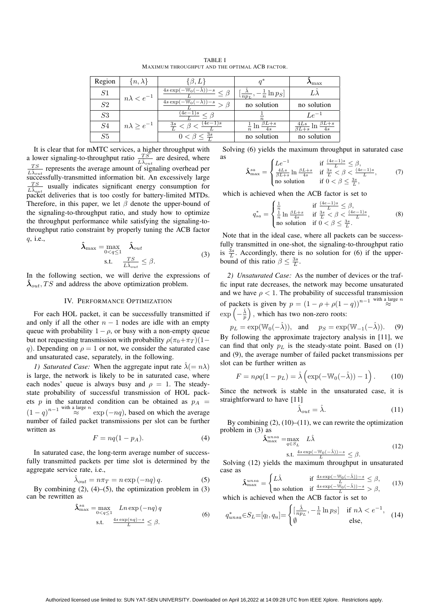| Region         | $\{n,\lambda\}$        | $\{\beta, L\}$                                        |                                                         | $\boldsymbol{\Lambda}_{\max}$                     |
|----------------|------------------------|-------------------------------------------------------|---------------------------------------------------------|---------------------------------------------------|
| S <sub>1</sub> | $n\lambda < e^{-1}$    | $\frac{4s\exp(-W_0(-\hat{\lambda}))-s}{s} \leq \beta$ | $\left[\frac{\lambda}{np_L},-\frac{1}{n}\ln p_S\right]$ |                                                   |
| ${\cal S}2$    |                        | $4s \exp(-W_0(-\lambda)) - s$                         | no solution                                             | no solution                                       |
| S3             | $n\lambda \geq e^{-1}$ | $\frac{\sqrt{4e-1}s}{\sqrt{2}} < \beta$               |                                                         | $Le^{-1}$                                         |
| S4             |                        | $\frac{3s}{I} < \beta < \frac{(4e-1)s}{I}$            | $rac{1}{n}$ ln $rac{\beta L + s}{4s}$                   | $\frac{4Ls}{\beta L+s}$ ln $\frac{\beta L+s}{4s}$ |
| S5             |                        | $\frac{3s}{4}$<br>$0 < \beta <$                       | no solution                                             | no solution                                       |

TABLE I MAXIMUM THROUGHPUT AND THE OPTIMAL ACB FACTOR.

It is clear that for mMTC services, a higher throughput with a lower signaling-to-throughput ratio  $\frac{TS}{L\lambda_{out}}$  are desired, where  $rac{TS}{L\lambda_{out}}$  represents the average amount of signaling overhead per **SA**<sub>out</sub> successfully-transmitted information bit. An excessively large  $rac{TS}{L\lambda_{out}}$  usually indicates significant energy consumption for packet deliveries that is too costly for battery-limited MTDs. Therefore, in this paper, we let  $\beta$  denote the upper-bound of the signaling-to-throughput ratio, and study how to optimize the throughput performance while satisfying the signaling-tothroughput ratio constraint by properly tuning the ACB factor q, i.e.,

$$
\max = \max_{0 < q \le 1} \hat{\lambda}_{out} \tag{3}
$$
\n
$$
\text{s.t.} \quad \frac{TS}{L\hat{\lambda}_{out}} \le \beta.
$$

In the following section, we will derive the expressions of  $\lambda_{out}$ , TS and address the above optimization problem.

 $\boldsymbol{\hat{\lambda}}_{\rm m}$ 

#### IV. PERFORMANCE OPTIMIZATION

For each HOL packet, it can be successfully transmitted if and only if all the other  $n - 1$  nodes are idle with an empty queue with probability  $1 - \rho$ , or busy with a non-empty queue but not requesting transmission with probability  $\rho(\pi_0+\pi_T)(1-\pi_T)$ q). Depending on  $\rho = 1$  or not, we consider the saturated case and unsaturated case, separately, in the following.

*1) Saturated Case:* When the aggregate input rate  $\hat{\lambda}$ (=  $n\lambda$ ) is large, the network is likely to be in saturated case, where each nodes' queue is always busy and  $\rho = 1$ . The steadystate probability of successful transmission of HOL packets p in the saturated condition can be obtained as  $p_A$  =  $(1 - q)^{n-1}$  with a large n exp  $(-nq)$ , based on which the average number of failed packet transmissions per slot can be further written as

$$
F = nq(1 - p_A). \tag{4}
$$

In saturated case, the long-term average number of successfully transmitted packets per time slot is determined by the aggregate service rate, i.e.,

$$
\hat{\lambda}_{out} = n\pi_T = n \exp(-nq) q. \tag{5}
$$

By combining  $(2)$ ,  $(4)$ – $(5)$ , the optimization problem in  $(3)$ can be rewritten as

$$
\begin{aligned} \hat{\lambda}_{\max}^{sa} &= \max_{0 < q \le 1} \quad Ln \exp\left(-nq\right) q\\ \text{s.t.} \quad & \xrightarrow[L]{4s \exp\left(nq\right) - s} \le \beta. \end{aligned} \tag{6}
$$

Solving (6) yields the maximum throughput in saturated case as

$$
\hat{\lambda}_{\max}^{sa} = \begin{cases}\nLe^{-1} & \text{if } \frac{(4e-1)s}{L} \leq \beta, \\
\frac{4Ls}{\beta L+s} \ln \frac{\beta L+s}{4s} & \text{if } \frac{3s}{L} < \beta < \frac{(4e-1)s}{L}, \\
\text{no solution} & \text{if } 0 < \beta \leq \frac{3s}{L},\n\end{cases} (7)
$$

which is achieved when the ACB factor is set to

$$
q_{sa}^{*} = \begin{cases} \frac{1}{n} & \text{if } \frac{(4e-1)s}{L} \leq \beta, \\ \frac{1}{n}\ln\frac{\beta L+s}{4s} & \text{if } \frac{3s}{L} < \beta < \frac{(4e-1)s}{L}, \\ \text{no solution} & \text{if } 0 < \beta \leq \frac{3s}{L}. \end{cases} \tag{8}
$$

Note that in the ideal case, where all packets can be successfully transmitted in one-shot, the signaling-to-throughput ratio is  $\frac{3s}{L}$ . Accordingly, there is no solution for (6) if the upperbound of this ratio  $\beta \leq \frac{3s}{L}$ .

*2) Unsaturated Case:* As the number of devices or the traffic input rate decreases, the network may become unsaturated and we have  $\rho < 1$ . The probability of successful transmission of packets is given by  $p = (1 - \rho + \rho(1 - q))^{n-1}$  with a large n  $\exp\left(-\frac{\hat{\lambda}}{p}\right)$ , which has two non-zero roots:

$$
p_L = \exp(\mathbb{W}_0(-\hat{\lambda})), \text{ and } p_S = \exp(\mathbb{W}_{-1}(-\hat{\lambda})).
$$
 (9)

By following the approximate trajectory analysis in [11], we can find that only  $p<sub>L</sub>$  is the steady-state point. Based on (1) and (9), the average number of failed packet transmissions per slot can be further written as

$$
F = n\rho q(1 - p_L) = \hat{\lambda} \left( \exp(-W_0(-\hat{\lambda})) - 1 \right). \tag{10}
$$

Since the network is stable in the unsaturated case, it is straightforward to have [11]

$$
\hat{\lambda}_{out} = \hat{\lambda}.\tag{11}
$$

By combining  $(2)$ ,  $(10)$ – $(11)$ , we can rewrite the optimization problem in (3) as

$$
\begin{aligned} \hat{\lambda}_{\max}^{unsa} &= \max_{q \in S_L} L\hat{\lambda} \\ \text{s.t. } & \frac{4s \exp(-\mathbb{W}_0(-\hat{\lambda})) - s}{L} \le \beta. \end{aligned} \tag{12}
$$

Solving (12) yields the maximum throughput in unsaturated case as

$$
\hat{\lambda}_{\max}^{unsa} = \begin{cases} L\hat{\lambda} & \text{if } \frac{4s \exp(-\mathbb{W}_0(-\hat{\lambda})) - s}{L} \le \beta, \\ \text{no solution} & \text{if } \frac{4s \exp(-\mathbb{W}_0(-\hat{\lambda})) - s}{L} > \beta, \end{cases}
$$
(13)

which is achieved when the ACB factor is set to

$$
q_{unsa}^* \in S_L = [q_l, q_u] = \begin{cases} \left[\frac{\hat{\lambda}}{np_L}, -\frac{1}{n} \ln p_S\right] & \text{if } n\lambda < e^{-1},\\ \emptyset & \text{else}, \end{cases} (14)
$$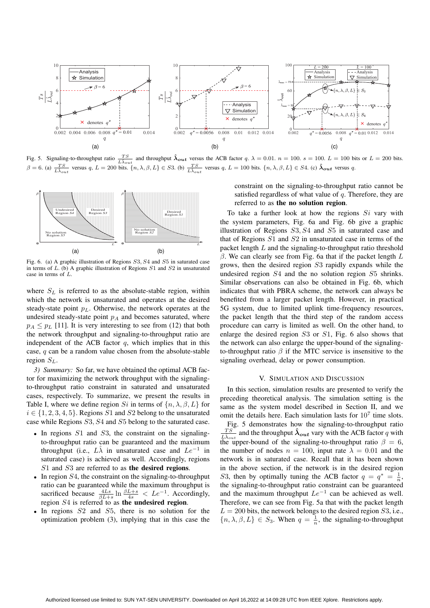

Fig. 5. Signaling-to-throughput ratio  $\frac{TS}{L\hat{\lambda}_{out}}$  and throughput  $\hat{\lambda}_{out}$  versus the ACB factor q.  $\lambda = 0.01$ .  $n = 100$ .  $s = 100$ .  $L = 100$  bits or  $L = 200$  bits.  $\beta = 6$ . (a)  $\frac{TS}{L\hat{\lambda}_{out}}$  versus q,  $L = 200$  bits.  $\{n, \lambda, \beta, L\} \in S3$ . (b)  $\frac{TS}{L\hat{\lambda}_{out}}$  versus q,  $L = 100$  bits.  $\{n, \lambda, \beta, L\} \in S4$ . (c)  $\hat{\lambda}_{out}$  versus q.



Fig. 6. (a) A graphic illustration of Regions S3, S4 and S5 in saturated case in terms of  $L$ . (b) A graphic illustration of Regions  $S1$  and  $S2$  in unsaturated case in terms of L.

where  $S_L$  is referred to as the absolute-stable region, within which the network is unsaturated and operates at the desired steady-state point  $p<sub>L</sub>$ . Otherwise, the network operates at the undesired steady-state point  $p_A$  and becomes saturated, where  $p_A \leq p_L$  [11]. It is very interesting to see from (12) that both the network throughput and signaling-to-throughput ratio are independent of the ACB factor  $q$ , which implies that in this case, q can be a random value chosen from the absolute-stable region  $S_L$ .

*3) Summary:* So far, we have obtained the optimal ACB factor for maximizing the network throughput with the signalingto-throughput ratio constraint in saturated and unsaturated cases, respectively. To summarize, we present the results in Table I, where we define region Si in terms of  $\{n, \lambda, \beta, L\}$  for  $i \in \{1, 2, 3, 4, 5\}$ . Regions S1 and S2 belong to the unsaturated case while Regions S3, S4 and S5 belong to the saturated case.

- In regions  $S1$  and  $S3$ , the constraint on the signalingto-throughput ratio can be guaranteed and the maximum throughput (i.e.,  $L\hat{\lambda}$  in unsaturated case and  $Le^{-1}$  in saturated case) is achieved as well. Accordingly, regions S1 and S3 are referred to as the desired regions.
- In region  $S_4$ , the constraint on the signaling-to-throughput ratio can be guaranteed while the maximum throughput is sacrificed because  $\frac{4Ls}{\beta L+s} \ln \frac{\beta L+s}{4s} < L e^{-1}$ . Accordingly, region S4 is referred to as the undesired region.
- In regions  $S2$  and  $S5$ , there is no solution for the optimization problem (3), implying that in this case the

constraint on the signaling-to-throughput ratio cannot be satisfied regardless of what value of  $q$ . Therefore, they are referred to as the no solution region.

To take a further look at how the regions  $Si$  vary with the system parameters, Fig. 6a and Fig. 6b give a graphic illustration of Regions S3, S4 and S5 in saturated case and that of Regions S1 and S2 in unsaturated case in terms of the packet length L and the signaling-to-throughput ratio threshold  $β$ . We can clearly see from Fig. 6a that if the packet length  $L$ grows, then the desired region S3 rapidly expands while the undesired region S4 and the no solution region S5 shrinks. Similar observations can also be obtained in Fig. 6b, which indicates that with PBRA scheme, the network can always be benefited from a larger packet length. However, in practical 5G system, due to limited uplink time-frequency resources, the packet length that the third step of the random access procedure can carry is limited as well. On the other hand, to enlarge the desired region S3 or S1, Fig. 6 also shows that the network can also enlarge the upper-bound of the signalingto-throughput ratio  $\beta$  if the MTC service is insensitive to the signaling overhead, delay or power consumption.

#### V. SIMULATION AND DISCUSSION

In this section, simulation results are presented to verify the preceding theoretical analysis. The simulation setting is the same as the system model described in Section II, and we omit the details here. Each simulation lasts for  $10<sup>7</sup>$  time slots.

Fig. 5 demonstrates how the signaling-to-throughput ratio  $\frac{TS}{S}$  and the throughput  $\hat{\lambda}_{out}$  vary with the ACB factor q with  $\overline{L\hat{\lambda}_{out}}$ the upper-bound of the signaling-to-throughput ratio  $\beta = 6$ , the number of nodes  $n = 100$ , input rate  $\lambda = 0.01$  and the network is in saturated case. Recall that it has been shown in the above section, if the network is in the desired region S3, then by optimally tuning the ACB factor  $q = q^* = \frac{1}{n}$ , the signaling-to-throughput ratio constraint can be guaranteed and the maximum throughput  $Le^{-1}$  can be achieved as well. Therefore, we can see from Fig. 5a that with the packet length  $L = 200$  bits, the network belongs to the desired region  $S3$ , i.e.,  ${n, \lambda, \beta, L} \in S_3$ . When  $q = \frac{1}{n}$ , the signaling-to-throughput